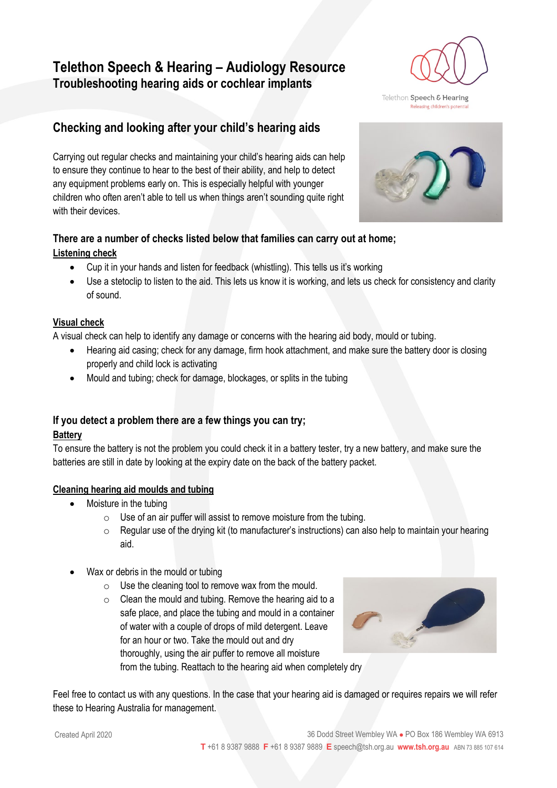# **Telethon Speech & Hearing – Audiology Resource Troubleshooting hearing aids or cochlear implants**

# **Checking and looking after your child's hearing aids**

Carrying out regular checks and maintaining your child's hearing aids can help to ensure they continue to hear to the best of their ability, and help to detect any equipment problems early on. This is especially helpful with younger children who often aren't able to tell us when things aren't sounding quite right with their devices.

### **There are a number of checks listed below that families can carry out at home; Listening check**

- Cup it in your hands and listen for feedback (whistling). This tells us it's working
- Use a stetoclip to listen to the aid. This lets us know it is working, and lets us check for consistency and clarity of sound.

### **Visual check**

A visual check can help to identify any damage or concerns with the hearing aid body, mould or tubing.

- Hearing aid casing; check for any damage, firm hook attachment, and make sure the battery door is closing properly and child lock is activating
- Mould and tubing; check for damage, blockages, or splits in the tubing

### **If you detect a problem there are a few things you can try;**

### **Battery**

To ensure the battery is not the problem you could check it in a battery tester, try a new battery, and make sure the batteries are still in date by looking at the expiry date on the back of the battery packet.

### **Cleaning hearing aid moulds and tubing**

- Moisture in the tubing
	- $\circ$  Use of an air puffer will assist to remove moisture from the tubing.
	- $\circ$  Regular use of the drying kit (to manufacturer's instructions) can also help to maintain your hearing aid.
- Wax or debris in the mould or tubing
	- $\circ$  Use the cleaning tool to remove wax from the mould.
	- o Clean the mould and tubing. Remove the hearing aid to a safe place, and place the tubing and mould in a container of water with a couple of drops of mild detergent. Leave for an hour or two. Take the mould out and dry thoroughly, using the air puffer to remove all moisture from the tubing. Reattach to the hearing aid when completely dry



Feel free to contact us with any questions. In the case that your hearing aid is damaged or requires repairs we will refer these to Hearing Australia for management.